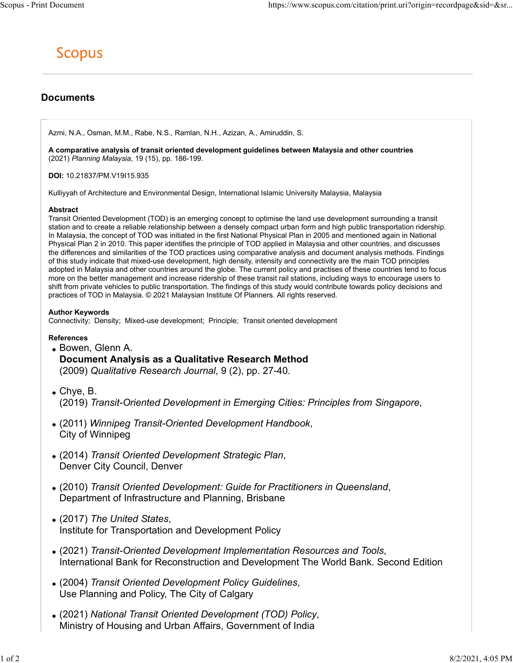# Documents

Azmi, N.A., Osman, M.M., Rabe, N.S., Ramlan, N.H., Azizan, A., Amiruddin, S.

A comparative analysis of transit oriented development guidelines between Malaysia and other countries (2021) Planning Malaysia, 19 (15), pp. 186-199.

DOI: 10.21837/PM.V19I15.935

Kulliyyah of Architecture and Environmental Design, International Islamic University Malaysia, Malaysia

### **Abstract**

Transit Oriented Development (TOD) is an emerging concept to optimise the land use development surrounding a transit station and to create a reliable relationship between a densely compact urban form and high public transportation ridership. In Malaysia, the concept of TOD was initiated in the first National Physical Plan in 2005 and mentioned again in National Physical Plan 2 in 2010. This paper identifies the principle of TOD applied in Malaysia and other countries, and discusses the differences and similarities of the TOD practices using comparative analysis and document analysis methods. Findings of this study indicate that mixed-use development, high density, intensity and connectivity are the main TOD principles adopted in Malaysia and other countries around the globe. The current policy and practises of these countries tend to focus more on the better management and increase ridership of these transit rail stations, including ways to encourage users to shift from private vehicles to public transportation. The findings of this study would contribute towards policy decisions and practices of TOD in Malaysia. © 2021 Malaysian Institute Of Planners. All rights reserved.

# Author Keywords

Connectivity; Density; Mixed-use development; Principle; Transit oriented development

# References

- Bowen, Glenn A. Document Analysis as a Qualitative Research Method (2009) Qualitative Research Journal, 9 (2), pp. 27-40.
- Chye, B.
- (2019) Transit-Oriented Development in Emerging Cities: Principles from Singapore, (2011) Winnipeg Transit-Oriented Development Handbook, City of Winnipeg
- (2014) Transit Oriented Development Strategic Plan, Denver City Council, Denver
- (2010) Transit Oriented Development: Guide for Practitioners in Queensland, Department of Infrastructure and Planning, Brisbane
- (2017) The United States, Institute for Transportation and Development Policy
- (2021) Transit-Oriented Development Implementation Resources and Tools, International Bank for Reconstruction and Development The World Bank. Second Edition
- (2004) Transit Oriented Development Policy Guidelines, Use Planning and Policy, The City of Calgary
- (2021) National Transit Oriented Development (TOD) Policy, Ministry of Housing and Urban Affairs, Government of India